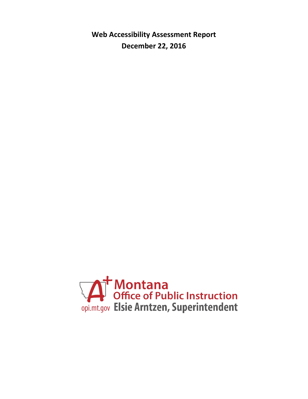**Web Accessibility Assessment Report December 22, 2016**

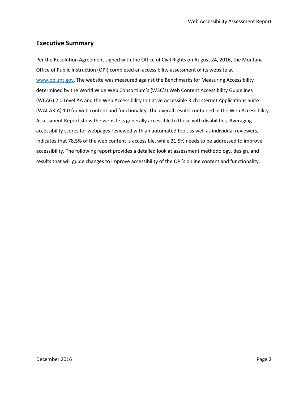# **Executive Summary**

Per the Resolution Agreement signed with the Office of Civil Rights on August 24, 2016, the Montana Office of Public Instruction (OPI) completed an accessibility assessment of its website at [www.opi.mt.gov.](http://www.opi.mt.gov/) The website was measured against the Benchmarks for Measuring Accessibility determined by the World Wide Web Consortium's (W3C's) Web Content Accessibility Guidelines (WCAG) 2.0 Level AA and the Web Accessibility Initiative Accessible Rich Internet Applications Suite (WAI-ARIA) 1.0 for web content and functionality. The overall results contained in the Web Accessibility Assessment Report show the website is generally accessible to those with disabilities. Averaging accessibility scores for webpages reviewed with an automated tool, as well as individual reviewers, indicates that 78.5% of the web content is accessible, while 21.5% needs to be addressed to improve accessibility. The following report provides a detailed look at assessment methodology, design, and results that will guide changes to improve accessibility of the OPI's online content and functionality.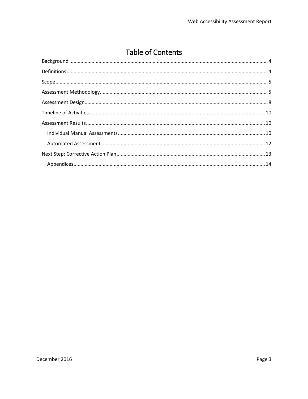# **Table of Contents**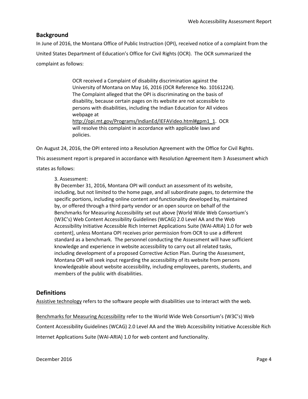# <span id="page-3-0"></span>**Background**

In June of 2016, the Montana Office of Public Instruction (OPI), received notice of a complaint from the United States Department of Education's Office for Civil Rights (OCR). The OCR summarized the complaint as follows:

> OCR received a Complaint of disability discrimination against the University of Montana on May 16, 2016 (OCR Reference No. 10161224). The Complaint alleged that the OPI is discriminating on the basis of disability, because certain pages on its website are not accessible to persons with disabilities, including the Indian Education for All videos webpage at [http://opi.mt.gov/Programs/IndianEd/IEFAVideo.html#gpm1\\_1.](http://opi.mt.gov/Programs/IndianEd/IEFAVideo.html#gpm1_1) OCR will resolve this complaint in accordance with applicable laws and policies.

On August 24, 2016, the OPI entered into a Resolution Agreement with the Office for Civil Rights.

This assessment report is prepared in accordance with Resolution Agreement Item 3 Assessment which

states as follows:

### 3. Assessment:

By December 31, 2016, Montana OPI will conduct an assessment of its website, including, but not limited to the home page, and all subordinate pages, to determine the specific portions, including online content and functionality developed by, maintained by, or offered through a third party vendor or an open source on behalf of the Benchmarks for Measuring Accessibility set out above [World Wide Web Consortium's (W3C's) Web Content Accessibility Guidelines (WCAG) 2.0 Level AA and the Web Accessibility Initiative Accessible Rich Internet Applications Suite (WAI-ARIA) 1.0 for web content], unless Montana OPI receives prior permission from OCR to use a different standard as a benchmark. The personnel conducting the Assessment will have sufficient knowledge and experience in website accessibility to carry out all related tasks, including development of a proposed Corrective Action Plan. During the Assessment, Montana OPI will seek input regarding the accessibility of its website from persons knowledgeable about website accessibility, including employees, parents, students, and members of the public with disabilities.

### <span id="page-3-1"></span>**Definitions**

Assistive technology refers to the software people with disabilities use to interact with the web.

Benchmarks for Measuring Accessibility refer to the World Wide Web Consortium's (W3C's) Web Content Accessibility Guidelines (WCAG) 2.0 Level AA and the Web Accessibility Initiative Accessible Rich Internet Applications Suite (WAI-ARIA) 1.0 for web content and functionality.

December 2016 **Page 4** Page 4 Page 4 Page 4 Page 4 Page 4 Page 4 Page 4 Page 4 Page 4 Page 4 Page 4 Page 4 Page 4 Page 4 Page 4 Page 4 Page 4 Page 4 Page 4 Page 4 Page 4 Page 4 Page 4 Page 4 Page 4 Page 4 Page 4 Page 4 Pag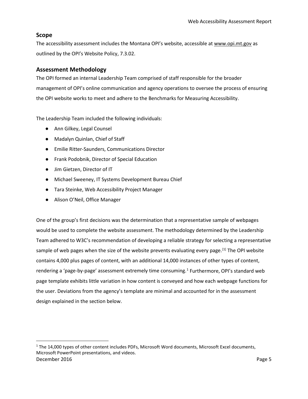# <span id="page-4-0"></span>**Scope**

 $\overline{\phantom{a}}$ 

The accessibility assessment includes the Montana OPI's website, accessible a[t www.opi.mt.gov](http://www.opi.mt.gov/) as outlined by the OPI's Website Policy, 7.3.02.

### <span id="page-4-1"></span>**Assessment Methodology**

The OPI formed an internal Leadership Team comprised of staff responsible for the broader management of OPI's online communication and agency operations to oversee the process of ensuring the OPI website works to meet and adhere to the Benchmarks for Measuring Accessibility.

The Leadership Team included the following individuals:

- Ann Gilkey, Legal Counsel
- Madalyn Quinlan, Chief of Staff
- Emilie Ritter-Saunders, Communications Director
- Frank Podobnik, Director of Special Education
- Jim Gietzen, Director of IT
- Michael Sweeney, IT Systems Development Bureau Chief
- Tara Steinke, Web Accessibility Project Manager
- Alison O'Neil, Office Manager

One of the group's first decisions was the determination that a representative sample of webpages would be used to complete the website assessment. The methodology determined by the Leadership Team adhered to W3C's recommendation of developing a reliable strategy for selecting a representative sample of web pages when the size of the website prevents evaluating every page.<sup>[\[1\]](#page-27-0)</sup> The OPI website contains 4,000 plus pages of content, with an additional 14,000 instances of other types of content, rendering a 'page-by-page' assessment extremely time consuming.<sup>[1](#page-4-2)</sup> Furthermore, OPI's standard web page template exhibits little variation in how content is conveyed and how each webpage functions for the user. Deviations from the agency's template are minimal and accounted for in the assessment design explained in the section below.

<span id="page-4-2"></span>December 2016 **Page 5** Page 5 <sup>1</sup> The 14,000 types of other content includes PDFs, Microsoft Word documents, Microsoft Excel documents, Microsoft PowerPoint presentations, and videos.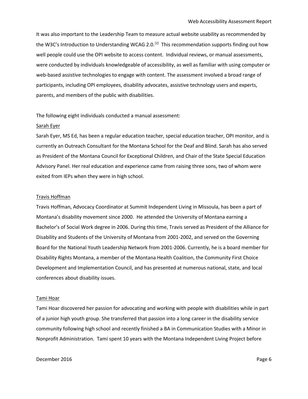It was also important to the Leadership Team to measure actual website usability as recommended by the W3C's Introduction to Understanding WCAG 2.0.<sup>[2]</sup> This recommendation supports finding out how well people could use the OPI website to access content. Individual reviews, or manual assessments, were conducted by individuals knowledgeable of accessibility, as well as familiar with using computer or web-based assistive technologies to engage with content. The assessment involved a broad range of participants, including OPI employees, disability advocates, assistive technology users and experts, parents, and members of the public with disabilities.

#### The following eight individuals conducted a manual assessment:

#### Sarah Eyer

Sarah Eyer, MS Ed, has been a regular education teacher, special education teacher, OPI monitor, and is currently an Outreach Consultant for the Montana School for the Deaf and Blind. Sarah has also served as President of the Montana Council for Exceptional Children, and Chair of the State Special Education Advisory Panel. Her real education and experience came from raising three sons, two of whom were exited from IEPs when they were in high school.

#### Travis Hoffman

Travis Hoffman, Advocacy Coordinator at Summit Independent Living in Missoula, has been a part of Montana's disability movement since 2000. He attended the University of Montana earning a Bachelor's of Social Work degree in 2006. During this time, Travis served as President of the Alliance for Disability and Students of the University of Montana from 2001-2002, and served on the Governing Board for the National Youth Leadership Network from 2001-2006. Currently, he is a board member for Disability Rights Montana, a member of the Montana Health Coalition, the Community First Choice Development and Implementation Council, and has presented at numerous national, state, and local conferences about disability issues.

#### Tami Hoar

Tami Hoar discovered her passion for advocating and working with people with disabilities while in part of a junior high youth group. She transferred that passion into a long career in the disability service community following high school and recently finished a BA in Communication Studies with a Minor in Nonprofit Administration. Tami spent 10 years with the Montana Independent Living Project before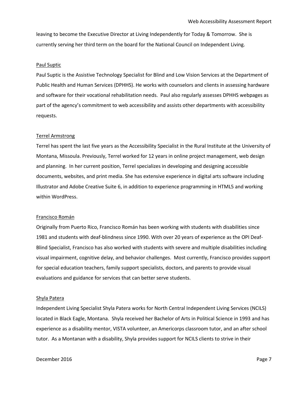leaving to become the Executive Director at Living Independently for Today & Tomorrow. She is currently serving her third term on the board for the National Council on Independent Living.

#### Paul Suptic

Paul Suptic is the Assistive Technology Specialist for Blind and Low Vision Services at the Department of Public Health and Human Services (DPHHS). He works with counselors and clients in assessing hardware and software for their vocational rehabilitation needs. Paul also regularly assesses DPHHS webpages as part of the agency's commitment to web accessibility and assists other departments with accessibility requests.

#### Terrel Armstrong

Terrel has spent the last five years as the Accessibility Specialist in the Rural Institute at the University of Montana, Missoula. Previously, Terrel worked for 12 years in online project management, web design and planning. In her current position, Terrel specializes in developing and designing accessible documents, websites, and print media. She has extensive experience in digital arts software including Illustrator and Adobe Creative Suite 6, in addition to experience programming in HTML5 and working within WordPress.

#### Francisco Román

Originally from Puerto Rico, Francisco Román has been working with students with disabilities since 1981 and students with deaf-blindness since 1990. With over 20 years of experience as the OPI Deaf-Blind Specialist, Francisco has also worked with students with severe and multiple disabilities including visual impairment, cognitive delay, and behavior challenges. Most currently, Francisco provides support for special education teachers, family support specialists, doctors, and parents to provide visual evaluations and guidance for services that can better serve students.

#### Shyla Patera

Independent Living Specialist Shyla Patera works for North Central Independent Living Services (NCILS) located in Black Eagle, Montana. Shyla received her Bachelor of Arts in Political Science in 1993 and has experience as a disability mentor, VISTA volunteer, an Americorps classroom tutor, and an after school tutor. As a Montanan with a disability, Shyla provides support for NCILS clients to strive in their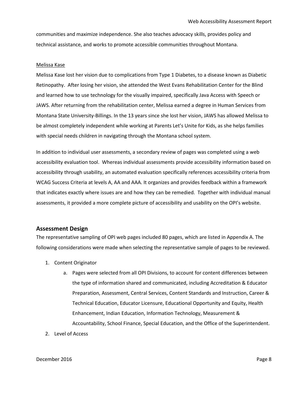communities and maximize independence. She also teaches advocacy skills, provides policy and technical assistance, and works to promote accessible communities throughout Montana.

#### Melissa Kase

Melissa Kase lost her vision due to complications from Type 1 Diabetes, to a disease known as Diabetic Retinopathy. After losing her vision, she attended the West Evans Rehabilitation Center for the Blind and learned how to use technology for the visually impaired, specifically Java Access with Speech or JAWS. After returning from the rehabilitation center, Melissa earned a degree in Human Services from Montana State University-Billings. In the 13 years since she lost her vision, JAWS has allowed Melissa to be almost completely independent while working at Parents Let's Unite for Kids, as she helps families with special needs children in navigating through the Montana school system.

In addition to individual user assessments, a secondary review of pages was completed using a web accessibility evaluation tool. Whereas individual assessments provide accessibility information based on accessibility through usability, an automated evaluation specifically references accessibility criteria from WCAG Success Criteria at levels A, AA and AAA. It organizes and provides feedback within a framework that indicates exactly where issues are and how they can be remedied. Together with individual manual assessments, it provided a more complete picture of accessibility and usability on the OPI's website.

#### <span id="page-7-0"></span>**Assessment Design**

The representative sampling of OPI web pages included 80 pages, which are listed in Appendix A. The following considerations were made when selecting the representative sample of pages to be reviewed.

- 1. Content Originator
	- a. Pages were selected from all OPI Divisions, to account for content differences between the type of information shared and communicated, including Accreditation & Educator Preparation, Assessment, Central Services, Content Standards and Instruction, Career & Technical Education, Educator Licensure, Educational Opportunity and Equity, Health Enhancement, Indian Education, Information Technology, Measurement & Accountability, School Finance, Special Education, and the Office of the Superintendent.
- 2. Level of Access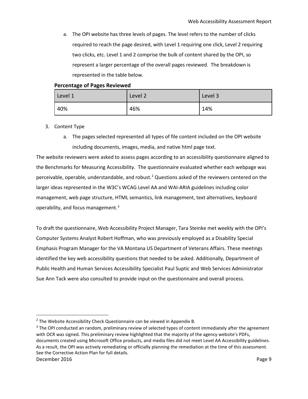a. The OPI website has three levels of pages. The level refers to the number of clicks required to reach the page desired, with Level 1 requiring one click, Level 2 requiring two clicks, etc. Level 1 and 2 comprise the bulk of content shared by the OPI, so represent a larger percentage of the overall pages reviewed. The breakdown is represented in the table below.

### **Percentage of Pages Reviewed**

| Level 1 | Level 2 | Level 3 |
|---------|---------|---------|
| 40%     | 46%     | 14%     |

- 3. Content Type
	- a. The pages selected represented all types of file content included on the OPI website including documents, images, media, and native html page text.

The website reviewers were asked to assess pages according to an accessibility questionnaire aligned to the Benchmarks for Measuring Accessibility. The questionnaire evaluated whether each webpage was perceivable, operable, understandable, and robust.[2](#page-8-0) Questions asked of the reviewers centered on the larger ideas represented in the W3C's WCAG Level AA and WAI-ARIA guidelines including color management, web page structure, HTML semantics, link management, text alternatives, keyboard operability, and focus management.<sup>[3](#page-8-1)</sup>

To draft the questionnaire, Web Accessibility Project Manager, Tara Steinke met weekly with the OPI's Computer Systems Analyst Robert Hoffman, who was previously employed as a Disability Special Emphasis Program Manager for the VA Montana US Department of Veterans Affairs. These meetings identified the key web accessibility questions that needed to be asked. Additionally, Department of Public Health and Human Services Accessibility Specialist Paul Suptic and Web Services Administrator Sue Ann Tack were also consulted to provide input on the questionnaire and overall process.

<span id="page-8-1"></span>December 2016 **Page 9**  $3$  The OPI conducted an random, preliminary review of selected types of content immediately after the agreement with OCR was signed. This preliminary review highlighted that the majority of the agency website's PDFs, documents created using Microsoft Office products, and media files did not meet Level AA Accessibility guidelines. As a result, the OPI was actively remediating or officially planning the remediation at the time of this assessment. See the Corrective Action Plan for full details.

<span id="page-8-0"></span><sup>&</sup>lt;sup>2</sup> The Website Accessibility Check Questionnaire can be viewed in Appendix B.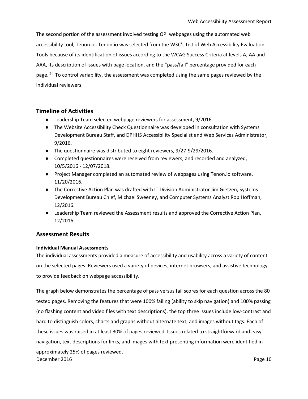The second portion of the assessment involved testing OPI webpages using the automated web accessibility tool, Tenon.io. Tenon.io was selected from the W3C's List of Web Accessibility Evaluation Tools because of its identification of issues according to the WCAG Success Criteria at levels A, AA and AAA, its description of issues with page location, and the "pass/fail" percentage provided for each page.<sup>[3]</sup> To control variability, the assessment was completed using the same pages reviewed by the individual reviewers.

### <span id="page-9-0"></span>**Timeline of Activities**

- Leadership Team selected webpage reviewers for assessment, 9/2016.
- The Website Accessibility Check Questionnaire was developed in consultation with Systems Development Bureau Staff, and DPHHS Accessibility Specialist and Web Services Administrator, 9/2016.
- The questionnaire was distributed to eight reviewers, 9/27-9/29/2016.
- Completed questionnaires were received from reviewers, and recorded and analyzed, 10/5/2016 - 12/07/2018.
- Project Manager completed an automated review of webpages using Tenon.io software, 11/20/2016.
- The Corrective Action Plan was drafted with IT Division Administrator Jim Gietzen, Systems Development Bureau Chief, Michael Sweeney, and Computer Systems Analyst Rob Hoffman, 12/2016.
- Leadership Team reviewed the Assessment results and approved the Corrective Action Plan, 12/2016.

### <span id="page-9-1"></span>**Assessment Results**

### <span id="page-9-2"></span>**Individual Manual Assessments**

The individual assessments provided a measure of accessibility and usability across a variety of content on the selected pages. Reviewers used a variety of devices, internet browsers, and assistive technology to provide feedback on webpage accessibility.

December 2016 **Page 10** The graph below demonstrates the percentage of pass versus fail scores for each question across the 80 tested pages. Removing the features that were 100% failing (ability to skip navigation) and 100% passing (no flashing content and video files with text descriptions), the top three issues include low-contrast and hard to distinguish colors, charts and graphs without alternate text, and images without tags. Each of these issues was raised in at least 30% of pages reviewed. Issues related to straightforward and easy navigation, text descriptions for links, and images with text presenting information were identified in approximately 25% of pages reviewed.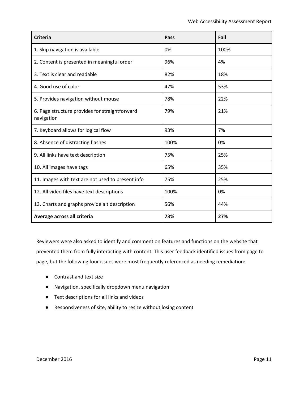| <b>Criteria</b>                                              | Pass | Fail |
|--------------------------------------------------------------|------|------|
| 1. Skip navigation is available                              | 0%   | 100% |
| 2. Content is presented in meaningful order                  | 96%  | 4%   |
| 3. Text is clear and readable                                | 82%  | 18%  |
| 4. Good use of color                                         | 47%  | 53%  |
| 5. Provides navigation without mouse                         | 78%  | 22%  |
| 6. Page structure provides for straightforward<br>navigation | 79%  | 21%  |
| 7. Keyboard allows for logical flow                          | 93%  | 7%   |
| 8. Absence of distracting flashes                            | 100% | 0%   |
| 9. All links have text description                           | 75%  | 25%  |
| 10. All images have tags                                     | 65%  | 35%  |
| 11. Images with text are not used to present info            | 75%  | 25%  |
| 12. All video files have text descriptions                   | 100% | 0%   |
| 13. Charts and graphs provide alt description                | 56%  | 44%  |
| Average across all criteria                                  | 73%  | 27%  |

Reviewers were also asked to identify and comment on features and functions on the website that prevented them from fully interacting with content. This user feedback identified issues from page to page, but the following four issues were most frequently referenced as needing remediation:

- Contrast and text size
- Navigation, specifically dropdown menu navigation
- Text descriptions for all links and videos
- Responsiveness of site, ability to resize without losing content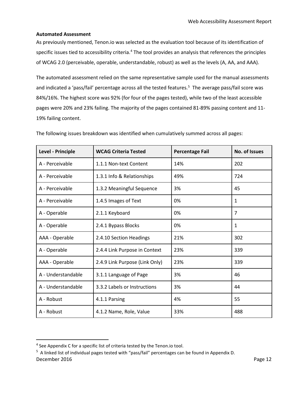### <span id="page-11-0"></span>**Automated Assessment**

As previously mentioned, Tenon.io was selected as the evaluation tool because of its identification of specific issues tied to accessibility criteria.<sup>[4](#page-11-1)</sup> The tool provides an analysis that references the principles of WCAG 2.0 (perceivable, operable, understandable, robust) as well as the levels (A, AA, and AAA).

The automated assessment relied on the same representative sample used for the manual assessments and indicated a 'pass/fail' percentage across all the tested features.<sup>[5](#page-11-2)</sup> The average pass/fail score was 84%/16%. The highest score was 92% (for four of the pages tested), while two of the least accessible pages were 20% and 23% failing. The majority of the pages contained 81-89% passing content and 11- 19% failing content.

| Level - Principle  | <b>WCAG Criteria Tested</b>    | <b>Percentage Fail</b> | <b>No. of Issues</b> |
|--------------------|--------------------------------|------------------------|----------------------|
| A - Perceivable    | 1.1.1 Non-text Content         | 14%                    | 202                  |
| A - Perceivable    | 1.3.1 Info & Relationships     | 49%                    | 724                  |
| A - Perceivable    | 1.3.2 Meaningful Sequence      | 3%                     | 45                   |
| A - Perceivable    | 1.4.5 Images of Text           | 0%                     | 1                    |
| A - Operable       | 2.1.1 Keyboard                 | 0%                     | 7                    |
| A - Operable       | 2.4.1 Bypass Blocks            | 0%                     | 1                    |
| AAA - Operable     | 2.4.10 Section Headings        | 21%                    | 302                  |
| A - Operable       | 2.4.4 Link Purpose in Context  | 23%                    | 339                  |
| AAA - Operable     | 2.4.9 Link Purpose (Link Only) | 23%                    | 339                  |
| A - Understandable | 3.1.1 Language of Page         | 3%                     | 46                   |
| A - Understandable | 3.3.2 Labels or Instructions   | 3%                     | 44                   |
| A - Robust         | 4.1.1 Parsing                  | 4%                     | 55                   |
| A - Robust         | 4.1.2 Name, Role, Value        | 33%                    | 488                  |

The following issues breakdown was identified when cumulatively summed across all pages:

l

<span id="page-11-1"></span> $4$  See Appendix C for a specific list of criteria tested by the Tenon.io tool.

<span id="page-11-2"></span>December 2016 **Page 12** <sup>5</sup> A linked list of individual pages tested with "pass/fail" percentages can be found in Appendix D.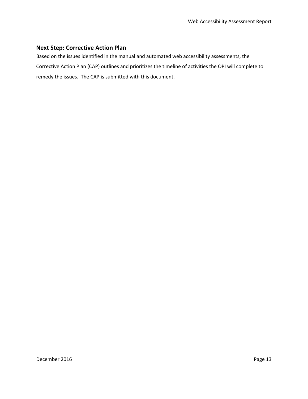# <span id="page-12-0"></span>**Next Step: Corrective Action Plan**

Based on the issues identified in the manual and automated web accessibility assessments, the Corrective Action Plan (CAP) outlines and prioritizes the timeline of activities the OPI will complete to remedy the issues. The CAP is submitted with this document.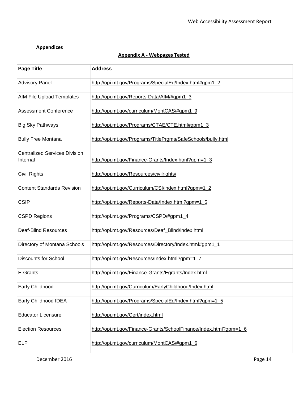# <span id="page-13-0"></span>**Appendices**

# **Appendix A - Webpages Tested**

| <b>Page Title</b>                                | <b>Address</b>                                                    |
|--------------------------------------------------|-------------------------------------------------------------------|
| <b>Advisory Panel</b>                            | http://opi.mt.gov/Programs/SpecialEd/Index.html#gpm1_2            |
| <b>AIM File Upload Templates</b>                 | http://opi.mt.gov/Reports-Data/AIM/#gpm1_3                        |
| <b>Assessment Conference</b>                     | http://opi.mt.gov/curriculum/MontCAS/#gpm1_9                      |
| <b>Big Sky Pathways</b>                          | http://opi.mt.gov/Programs/CTAE/CTE.html#gpm1_3                   |
| <b>Bully Free Montana</b>                        | http://opi.mt.gov/Programs/TitlePrgms/SafeSchools/bully.html      |
| <b>Centralized Services Division</b><br>Internal | http://opi.mt.gov/Finance-Grants/Index.html?gpm=1_3               |
| <b>Civil Rights</b>                              | http://opi.mt.gov/Resources/civilrights/                          |
| <b>Content Standards Revision</b>                | http://opi.mt.gov/Curriculum/CSI/index.html?gpm=1_2               |
| <b>CSIP</b>                                      | http://opi.mt.gov/Reports-Data/Index.html?gpm=1_5                 |
| <b>CSPD Regions</b>                              | http://opi.mt.gov/Programs/CSPD/#gpm1_4                           |
| <b>Deaf-Blind Resources</b>                      | http://opi.mt.gov/Resources/Deaf_Blind/index.html                 |
| Directory of Montana Schools                     | http://opi.mt.gov/Resources/Directory/Index.html#gpm1_1           |
| <b>Discounts for School</b>                      | http://opi.mt.gov/Resources/Index.html?gpm=1_7                    |
| E-Grants                                         | http://opi.mt.gov/Finance-Grants/Egrants/Index.html               |
| Early Childhood                                  | http://opi.mt.gov/Curriculum/EarlyChildhood/Index.html            |
| Early Childhood IDEA                             | http://opi.mt.gov/Programs/SpecialEd/Index.html?gpm=1_5           |
| <b>Educator Licensure</b>                        | http://opi.mt.gov/Cert/index.html                                 |
| <b>Election Resources</b>                        | http://opi.mt.gov/Finance-Grants/SchoolFinance/Index.html?gpm=1_6 |
| ELP                                              | http://opi.mt.gov/curriculum/MontCAS/#gpm1_6                      |

December 2016 **Page 14**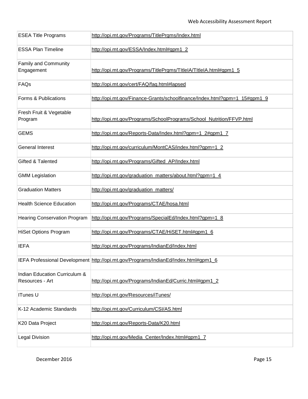| <b>ESEA Title Programs</b>                       | http://opi.mt.gov/Programs/TitlePrgms/Index.html                                    |
|--------------------------------------------------|-------------------------------------------------------------------------------------|
| <b>ESSA Plan Timeline</b>                        | http://opi.mt.gov/ESSA/Index.html#gpm1_2                                            |
| <b>Family and Community</b><br>Engagement        | http://opi.mt.gov/Programs/TitlePrgms/TItleIA/TItleIA.html#gpm1_5                   |
| FAQs                                             | http://opi.mt.gov/cert/FAQ/faq.html#lapsed                                          |
| Forms & Publications                             | http://opi.mt.gov/Finance-Grants/schoolfinance/Index.html?gpm=1_15#gpm1_9           |
| Fresh Fruit & Vegetable<br>Program               | http://opi.mt.gov/Programs/SchoolPrograms/School_Nutrition/FFVP.html                |
| <b>GEMS</b>                                      | http://opi.mt.gov/Reports-Data/Index.html?gpm=1_2#gpm1_7                            |
| <b>General Interest</b>                          | http://opi.mt.gov/curriculum/MontCAS/index.html?gpm=1_2                             |
| Gifted & Talented                                | http://opi.mt.gov/Programs/Gifted_AP/Index.html                                     |
| <b>GMM Legislation</b>                           | http://opi.mt.gov/graduation_matters/about.html?gpm=1_4                             |
| <b>Graduation Matters</b>                        | http://opi.mt.gov/graduation_matters/                                               |
| <b>Health Science Education</b>                  | http://opi.mt.gov/Programs/CTAE/hosa.html                                           |
| <b>Hearing Conservation Program</b>              | http://opi.mt.gov/Programs/SpecialEd/Index.html?gpm=1_8                             |
| <b>HiSet Options Program</b>                     | http://opi.mt.gov/Programs/CTAE/HiSET.html#gpm1_6                                   |
| IEFA                                             | http://opi.mt.gov/Programs/IndianEd/Index.html                                      |
|                                                  | IEFA Professional Development http://opi.mt.gov/Programs/IndianEd/Index.html#gpm1_6 |
| Indian Education Curriculum &<br>Resources - Art | http://opi.mt.gov/Programs/IndianEd/Curric.html#gpm1_2                              |
| <b>ITunes U</b>                                  | http://opi.mt.gov/Resources/iTunes/                                                 |
| K-12 Academic Standards                          | http://opi.mt.gov/Curriculum/CSI/AS.html                                            |
| K20 Data Project                                 | http://opi.mt.gov/Reports-Data/K20.html                                             |
| <b>Legal Division</b>                            | http://opi.mt.gov/Media_Center/Index.html#gpm1_7                                    |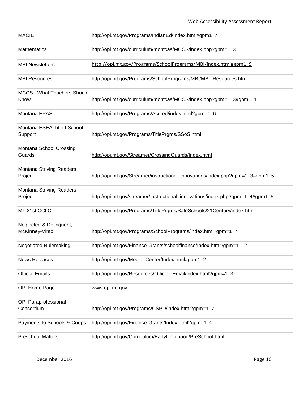| <b>MACIE</b>                       | http://opi.mt.gov/Programs/IndianEd/Index.html#gpm1_7                         |
|------------------------------------|-------------------------------------------------------------------------------|
| Mathematics                        | http://opi.mt.gov/curriculum/montcas/MCCS/index.php?gpm=1_3                   |
| <b>MBI Newsletters</b>             | http://opi.mt.gov/Programs/SchoolPrograms/MBI/index.html#gpm1 9               |
| <b>MBI Resources</b>               | http://opi.mt.gov/Programs/SchoolPrograms/MBI/MBI_Resources.html              |
| <b>MCCS - What Teachers Should</b> |                                                                               |
| Know                               | http://opi.mt.gov/curriculum/montcas/MCCS/index.php?gpm=1_3#gpm1_1            |
| Montana EPAS                       | http://opi.mt.gov/Programs/Accred/index.html?gpm=1_6                          |
| Montana ESEA Title I School        |                                                                               |
| Support                            | http://opi.mt.gov/Programs/TitlePrgms/SSoS.html                               |
| Montana School Crossing            |                                                                               |
| Guards                             | http://opi.mt.gov/Streamer/CrossingGuards/Index.html                          |
| <b>Montana Striving Readers</b>    |                                                                               |
| Project                            | http://opi.mt.gov/Streamer/instructional innovations/index.php?gpm=1 3#gpm1 5 |
| <b>Montana Striving Readers</b>    |                                                                               |
| Project                            | http://opi.mt.gov/streamer/Instructional_innovations/index.php?gpm=1_4#gpm1_5 |
| MT 21st CCLC                       | http://opi.mt.gov/Programs/TitlePrgms/SafeSchools/21Century/index.html        |
| Neglected & Delinquent,            |                                                                               |
| McKinney-Vinto                     | http://opi.mt.gov/Programs/SchoolPrograms/index.html?gpm=1_7                  |
| <b>Negotiated Rulemaking</b>       | http://opi.mt.gov/Finance-Grants/schoolfinance/Index.html?gpm=1_12            |
| <b>News Releases</b>               | http://opi.mt.gov/Media_Center/Index.html#gpm1_2                              |
|                                    |                                                                               |
| <b>Official Emails</b>             | http://opi.mt.gov/Resources/Official_Email/index.html?gpm=1_3                 |
| OPI Home Page                      | www.opi.mt.gov                                                                |
| <b>OPI Paraprofessional</b>        |                                                                               |
| Consortium                         | http://opi.mt.gov/Programs/CSPD/index.html?gpm=1_7                            |
|                                    |                                                                               |
| Payments to Schools & Coops        | http://opi.mt.gov/Finance-Grants/Index.html?gpm=1_4                           |
| <b>Preschool Matters</b>           | http://opi.mt.gov/Curriculum/EarlyChildhood/PreSchool.html                    |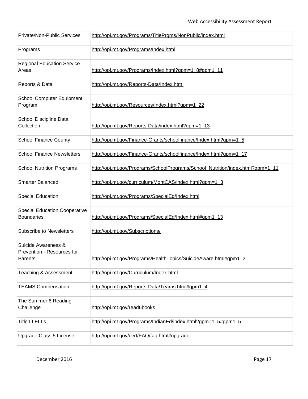| <b>Private/Non-Public Services</b>                           | http://opi.mt.gov/Programs/TitlePrgms/NonPublic/index.html                     |
|--------------------------------------------------------------|--------------------------------------------------------------------------------|
| Programs                                                     | http://opi.mt.gov/Programs/Index.html                                          |
| <b>Regional Education Service</b><br>Areas                   | http://opi.mt.gov/Programs/Index.html?gpm=1_8#gpm1_11                          |
| Reports & Data                                               | http://opi.mt.gov/Reports-Data/Index.html                                      |
| <b>School Computer Equipment</b><br>Program                  | http://opi.mt.gov/Resources/Index.html?gpm=1_22                                |
| School Discipline Data<br>Collection                         | http://opi.mt.gov/Reports-Data/index.html?gpm=1_13                             |
| <b>School Finance County</b>                                 | http://opi.mt.gov/Finance-Grants/schoolfinance/Index.html?gpm=1_5              |
| <b>School Finance Newsletters</b>                            | http://opi.mt.gov/Finance-Grants/schoolfinance/Index.html?gpm=1_17             |
| <b>School Nutrition Programs</b>                             | http://opi.mt.gov/Programs/SchoolPrograms/School Nutrition/index.html?gpm=1 11 |
| <b>Smarter Balanced</b>                                      | http://opi.mt.gov/curriculum/MontCAS/index.html?gpm=1_3                        |
| <b>Special Education</b>                                     | http://opi.mt.gov/Programs/SpecialEd/Index.html                                |
| <b>Special Education Cooperative</b><br><b>Boundaries</b>    | http://opi.mt.gov/Programs/SpecialEd/Index.html#gpm1_13                        |
| <b>Subscribe to Newsletters</b>                              | http://opi.mt.gov/Subscriptions/                                               |
| Suicide Awareness &<br>Prevention - Resources for<br>Parents | http://opi.mt.gov/Programs/HealthTopics/SuicideAware.html#gpm1_2               |
| Teaching & Assessment                                        | http://opi.mt.gov/Curriculum/Index.html                                        |
| <b>TEAMS Compensation</b>                                    | http://opi.mt.gov/Reports-Data/Teams.html#gpm1_4                               |
| The Summer 6 Reading<br>Challenge                            | http://opi.mt.gov/read6books                                                   |
| <b>Title III ELLs</b>                                        | http://opi.mt.gov/Programs/IndianEd/index.html?gpm=1_5#gpm1_5                  |
| Upgrade Class 5 License                                      | http://opi.mt.gov/cert/FAQ/faq.html#upgrade                                    |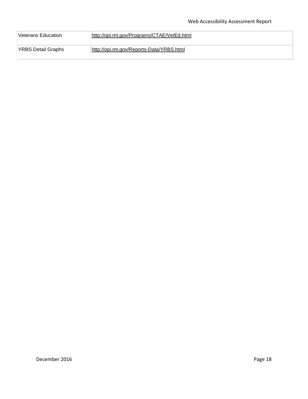| Veterans Education | http://opi.mt.gov/Programs/CTAE/VetEd.html |
|--------------------|--------------------------------------------|
| YRBS Detail Graphs | http://opi.mt.gov/Reports-Data/YRBS.html   |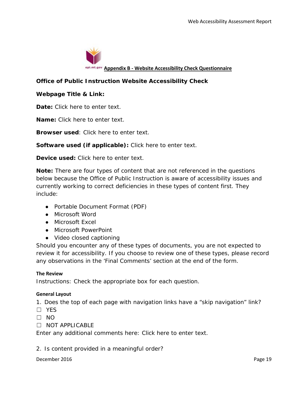

**Appendix B - Website Accessibility Check Questionnaire** 

# **Office of Public Instruction Website Accessibility Check**

### **Webpage Title & Link:**

**Date:** *Click here to enter text.*

**Name:** *Click here to enter text.*

**Browser used**: *Click here to enter text.*

**Software used (if applicable):** *Click here to enter text.*

**Device used:** *Click here to enter text.*

**Note:** There are four types of content that are not referenced in the questions below because the Office of Public Instruction is aware of accessibility issues and currently working to correct deficiencies in these types of content first. They include:

- Portable Document Format (PDF)
- Microsoft Word
- Microsoft Excel
- Microsoft PowerPoint
- Video closed captioning

Should you encounter any of these types of documents, you are not expected to review it for accessibility. If you choose to review one of these types, please record any observations in the 'Final Comments' section at the end of the form.

### **The Review**

Instructions: Check the appropriate box for each question.

### **General Layout**

1. Does the top of each page with navigation links have a "skip navigation" link?

- ☐ YES
- $\Box$  NO
- ☐ NOT APPLICABLE

Enter any additional comments here: *Click here to enter text*.

2. Is content provided in a meaningful order?

December 2016 **Page 19**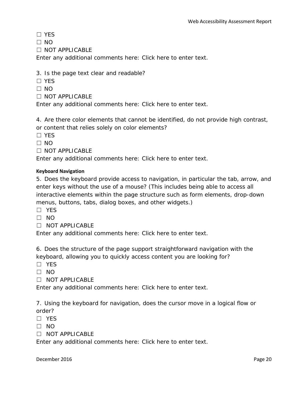☐ YES

 $\Box$  NO

☐ NOT APPLICABLE

Enter any additional comments here: *Click here to enter text*.

3. Is the page text clear and readable?

- ☐ YES
- $\Box$  NO
- ☐ NOT APPLICABLE

Enter any additional comments here: *Click here to enter text*.

4. Are there color elements that cannot be identified, do not provide high contrast,

or content that relies solely on color elements?

☐ YES

 $\Box$  NO

☐ NOT APPLICABLE

Enter any additional comments here: *Click here to enter text*.

### **Keyboard Navigation**

5. Does the keyboard provide access to navigation, in particular the tab, arrow, and enter keys without the use of a mouse? (This includes being able to access all interactive elements within the page structure such as form elements, drop-down menus, buttons, tabs, dialog boxes, and other widgets.)

- ☐ YES
- $\Box$  NO
- ☐ NOT APPLICABLE

Enter any additional comments here: *Click here to enter text*.

6. Does the structure of the page support straightforward navigation with the keyboard, allowing you to quickly access content you are looking for?

- ☐ YES
- ☐ NO

☐ NOT APPLICABLE

Enter any additional comments here: *Click here to enter text*.

7. Using the keyboard for navigation, does the cursor move in a logical flow or order?

- ☐ YES
- $\Box$  NO
- ☐ NOT APPLICABLE

Enter any additional comments here: *Click here to enter text*.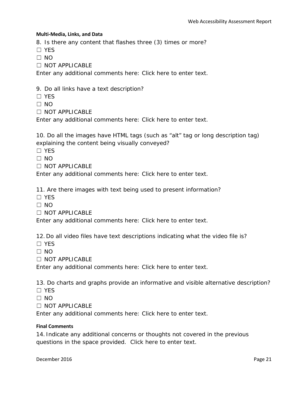### **Multi-Media, Links, and Data**

8. Is there any content that flashes three (3) times or more?

☐ YES

 $\Box$  NO

☐ NOT APPLICABLE

Enter any additional comments here: *Click here to enter text*.

9. Do all links have a text description?

☐ YES

 $\Box$  NO

☐ NOT APPLICABLE

Enter any additional comments here: *Click here to enter text*.

10. Do all the images have HTML tags (such as "alt" tag or long description tag) explaining the content being visually conveyed?

☐ YES

 $\Box$  NO

☐ NOT APPLICABLE

Enter any additional comments here: *Click here to enter text*.

11. Are there images with text being used to present information?

☐ YES

 $\Box$  NO

☐ NOT APPLICABLE

Enter any additional comments here: *Click here to enter text*.

12. Do all video files have text descriptions indicating what the video file is?

☐ YES

 $\Box$  NO

 $\Box$  NOT APPLICABLE

Enter any additional comments here: *Click here to enter text.*

13. Do charts and graphs provide an informative and visible alternative description?

☐ YES

 $\Box$  NO

☐ NOT APPLICABLE

Enter any additional comments here: *Click here to enter text.*

### **Final Comments**

14. Indicate any additional concerns or thoughts not covered in the previous questions in the space provided. *Click here to enter text.*

December 2016 **Page 21**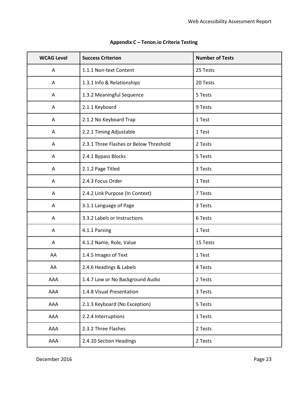| <b>WCAG Level</b> | <b>Success Criterion</b>               | <b>Number of Tests</b> |
|-------------------|----------------------------------------|------------------------|
| Α                 | 1.1.1 Non-text Content                 | 25 Tests               |
| A                 | 1.3.1 Info & Relationships             | 20 Tests               |
| A                 | 1.3.2 Meaningful Sequence              | 5 Tests                |
| A                 | 2.1.1 Keyboard                         | 9 Tests                |
| A                 | 2.1.2 No Keyboard Trap                 | 1 Test                 |
| A                 | 2.2.1 Timing Adjustable                | 1 Test                 |
| Α                 | 2.3.1 Three Flashes or Below Threshold | 2 Tests                |
| Α                 | 2.4.1 Bypass Blocks                    | 5 Tests                |
| A                 | 2.1.2 Page Titled                      | 3 Tests                |
| Α                 | 2.4.3 Focus Order                      | 1 Test                 |
| A                 | 2.4.2 Link Purpose (In Context)        | 7 Tests                |
| Α                 | 3.1.1 Language of Page                 | 3 Tests                |
| Α                 | 3.3.2 Labels or Instructions           | 6 Tests                |
| Α                 | 4.1.1 Parsing                          | 1 Test                 |
| Α                 | 4.1.2 Name, Role, Value                | 15 Tests               |
| AA                | 1.4.5 Images of Text                   | 1 Test                 |
| AA                | 2.4.6 Headings & Labels                | 4 Tests                |
| AAA               | 1.4.7 Low or No Background Audio       | 2 Tests                |
| AAA               | 1.4.8 Visual Presentation              | 3 Tests                |
| AAA               | 2.1.3 Keyboard (No Exception)          | 5 Tests                |
| AAA               | 2.2.4 Interruptions                    | 1 Tests                |
| AAA               | 2.3.2 Three Flashes                    | 2 Tests                |
| AAA               | 2.4.10 Section Headings                | 2 Tests                |

# **Appendix C – Tenon.io Criteria Testing**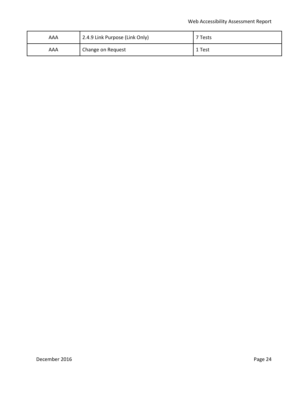| AAA | 2.4.9 Link Purpose (Link Only) | Tests  |
|-----|--------------------------------|--------|
| AAA | Change on Request              | 1 Test |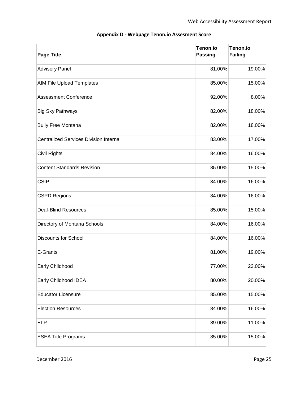| <b>Page Title</b>                             | Tenon.io<br><b>Passing</b> | Tenon.io<br><b>Failing</b> |
|-----------------------------------------------|----------------------------|----------------------------|
| <b>Advisory Panel</b>                         | 81.00%                     | 19.00%                     |
| AIM File Upload Templates                     | 85.00%                     | 15.00%                     |
| <b>Assessment Conference</b>                  | 92.00%                     | 8.00%                      |
| <b>Big Sky Pathways</b>                       | 82.00%                     | 18.00%                     |
| <b>Bully Free Montana</b>                     | 82.00%                     | 18.00%                     |
| <b>Centralized Services Division Internal</b> | 83.00%                     | 17.00%                     |
| Civil Rights                                  | 84.00%                     | 16.00%                     |
| <b>Content Standards Revision</b>             | 85.00%                     | 15.00%                     |
| <b>CSIP</b>                                   | 84.00%                     | 16.00%                     |
| <b>CSPD Regions</b>                           | 84.00%                     | 16.00%                     |
| <b>Deaf-Blind Resources</b>                   | 85.00%                     | 15.00%                     |
| Directory of Montana Schools                  | 84.00%                     | 16.00%                     |
| <b>Discounts for School</b>                   | 84.00%                     | 16.00%                     |
| E-Grants                                      | 81.00%                     | 19.00%                     |
| Early Childhood                               | 77.00%                     | 23.00%                     |
| Early Childhood IDEA                          | 80.00%                     | 20.00%                     |
| <b>Educator Licensure</b>                     | 85.00%                     | 15.00%                     |
| <b>Election Resources</b>                     | 84.00%                     | 16.00%                     |
| <b>ELP</b>                                    | 89.00%                     | 11.00%                     |
| <b>ESEA Title Programs</b>                    | 85.00%                     | 15.00%                     |

# **Appendix D - Webpage Tenon.io Assesment Score**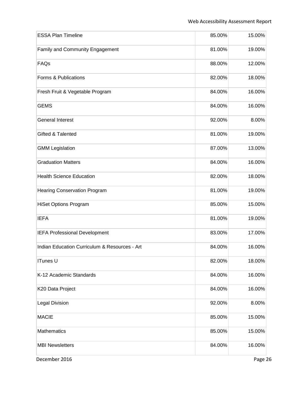| <b>ESSA Plan Timeline</b>                     | 85.00% | 15.00%  |
|-----------------------------------------------|--------|---------|
| Family and Community Engagement               | 81.00% | 19.00%  |
| FAQs                                          | 88.00% | 12.00%  |
| Forms & Publications                          | 82.00% | 18.00%  |
| Fresh Fruit & Vegetable Program               | 84.00% | 16.00%  |
| <b>GEMS</b>                                   | 84.00% | 16.00%  |
| <b>General Interest</b>                       | 92.00% | 8.00%   |
| Gifted & Talented                             | 81.00% | 19.00%  |
| <b>GMM Legislation</b>                        | 87.00% | 13.00%  |
| <b>Graduation Matters</b>                     | 84.00% | 16.00%  |
| <b>Health Science Education</b>               | 82.00% | 18.00%  |
| <b>Hearing Conservation Program</b>           | 81.00% | 19.00%  |
| <b>HiSet Options Program</b>                  | 85.00% | 15.00%  |
| <b>IEFA</b>                                   | 81.00% | 19.00%  |
| <b>IEFA Professional Development</b>          | 83.00% | 17.00%  |
| Indian Education Curriculum & Resources - Art | 84.00% | 16.00%  |
| <b>ITunes U</b>                               | 82.00% | 18.00%  |
| K-12 Academic Standards                       | 84.00% | 16.00%  |
| K20 Data Project                              | 84.00% | 16.00%  |
| <b>Legal Division</b>                         | 92.00% | 8.00%   |
| <b>MACIE</b>                                  | 85.00% | 15.00%  |
| Mathematics                                   | 85.00% | 15.00%  |
| <b>MBI Newsletters</b>                        | 84.00% | 16.00%  |
| December 2016                                 |        | Page 26 |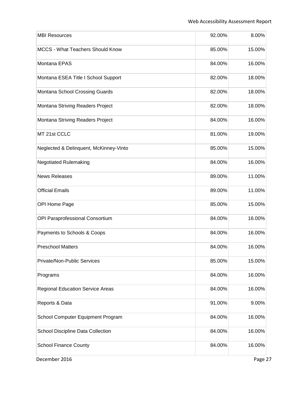| <b>MBI Resources</b>                    | 92.00% | 8.00%   |
|-----------------------------------------|--------|---------|
|                                         |        |         |
| <b>MCCS - What Teachers Should Know</b> | 85.00% | 15.00%  |
| Montana EPAS                            | 84.00% | 16.00%  |
| Montana ESEA Title I School Support     | 82.00% | 18.00%  |
| Montana School Crossing Guards          | 82.00% | 18.00%  |
| Montana Striving Readers Project        | 82.00% | 18.00%  |
| Montana Striving Readers Project        | 84.00% | 16.00%  |
| MT 21st CCLC                            | 81.00% | 19.00%  |
| Neglected & Delinquent, McKinney-Vinto  | 85.00% | 15.00%  |
| <b>Negotiated Rulemaking</b>            | 84.00% | 16.00%  |
| <b>News Releases</b>                    | 89.00% | 11.00%  |
| <b>Official Emails</b>                  | 89.00% | 11.00%  |
| OPI Home Page                           | 85.00% | 15.00%  |
| OPI Paraprofessional Consortium         | 84.00% | 16.00%  |
| Payments to Schools & Coops             | 84.00% | 16.00%  |
| <b>Preschool Matters</b>                | 84.00% | 16.00%  |
| Private/Non-Public Services             | 85.00% | 15.00%  |
| Programs                                | 84.00% | 16.00%  |
| <b>Regional Education Service Areas</b> | 84.00% | 16.00%  |
| Reports & Data                          | 91.00% | 9.00%   |
| School Computer Equipment Program       | 84.00% | 16.00%  |
| School Discipline Data Collection       | 84.00% | 16.00%  |
| <b>School Finance County</b>            | 84.00% | 16.00%  |
| December 2016                           |        | Page 27 |